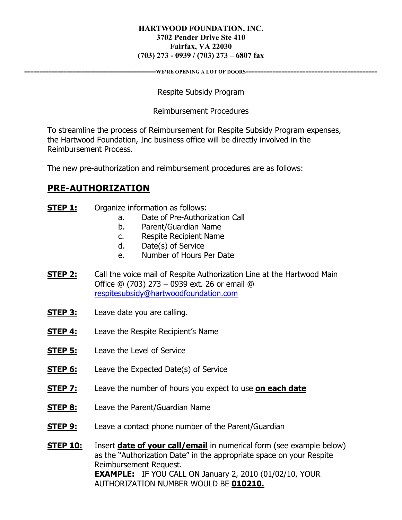#### **HARTWOOD FOUNDATION, INC. 3702 Pender Drive Ste 410 Fairfax, VA 22030 (703) 273 - 0939 / (703) 273 – 6807 fax**

**WE'RE OPENING A LOT OF DOORS=** 

Respite Subsidy Program

#### Reimbursement Procedures

To streamline the process of Reimbursement for Respite Subsidy Program expenses, the Hartwood Foundation, Inc business office will be directly involved in the Reimbursement Process.

The new pre-authorization and reimbursement procedures are as follows:

## **PRE-AUTHORIZATION**

- **STEP 1:** Organize information as follows:
	- a. Date of Pre-Authorization Call
	- b. Parent/Guardian Name
	- c. Respite Recipient Name
	- d. Date(s) of Service
	- e. Number of Hours Per Date
- **STEP 2:** Call the voice mail of Respite Authorization Line at the Hartwood Main Office @ (703) 273 – 0939 ext. 26 or email @ respitesubsidy@hartwoodfoundation.com
- **STEP 3:** Leave date you are calling.
- **STEP 4:** Leave the Respite Recipient's Name
- **STEP 5:** Leave the Level of Service
- **STEP 6:** Leave the Expected Date(s) of Service
- **STEP 7:** Leave the number of hours you expect to use **on each date**
- **STEP 8:** Leave the Parent/Guardian Name
- **STEP 9:** Leave a contact phone number of the Parent/Guardian

**STEP 10:** Insert **date of your call/email** in numerical form (see example below) as the "Authorization Date" in the appropriate space on your Respite Reimbursement Request. **EXAMPLE:** IF YOU CALL ON January 2, 2010 (01/02/10, YOUR AUTHORIZATION NUMBER WOULD BE **010210.**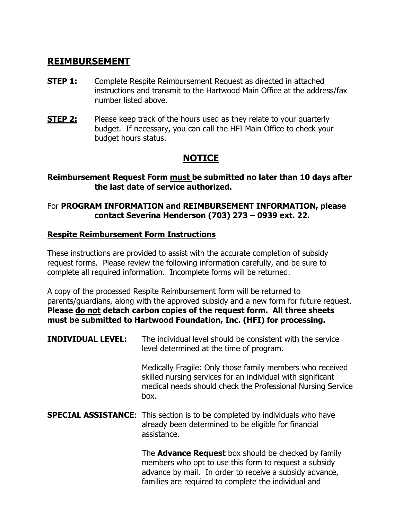### **REIMBURSEMENT**

- **STEP 1:** Complete Respite Reimbursement Request as directed in attached instructions and transmit to the Hartwood Main Office at the address/fax number listed above.
- **STEP 2:** Please keep track of the hours used as they relate to your quarterly budget. If necessary, you can call the HFI Main Office to check your budget hours status.

# **NOTICE**

#### **Reimbursement Request Form must be submitted no later than 10 days after the last date of service authorized.**

### For **PROGRAM INFORMATION and REIMBURSEMENT INFORMATION, please contact Severina Henderson (703) 273 – 0939 ext. 22.**

### **Respite Reimbursement Form Instructions**

These instructions are provided to assist with the accurate completion of subsidy request forms. Please review the following information carefully, and be sure to complete all required information. Incomplete forms will be returned.

A copy of the processed Respite Reimbursement form will be returned to parents/guardians, along with the approved subsidy and a new form for future request. **Please do not detach carbon copies of the request form. All three sheets must be submitted to Hartwood Foundation, Inc. (HFI) for processing.** 

**INDIVIDUAL LEVEL:** The individual level should be consistent with the service level determined at the time of program.

> Medically Fragile: Only those family members who received skilled nursing services for an individual with significant medical needs should check the Professional Nursing Service box.

**SPECIAL ASSISTANCE:** This section is to be completed by individuals who have already been determined to be eligible for financial assistance.

> The **Advance Request** box should be checked by family members who opt to use this form to request a subsidy advance by mail. In order to receive a subsidy advance, families are required to complete the individual and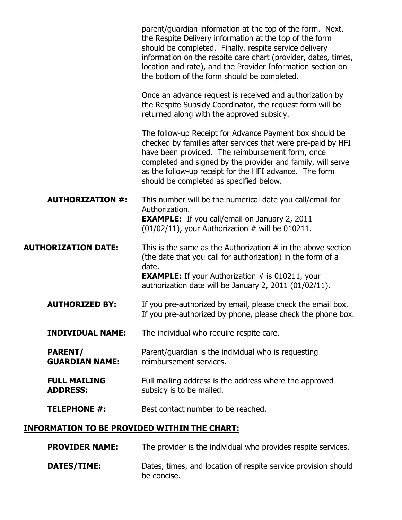|                                                     | parent/guardian information at the top of the form. Next,<br>the Respite Delivery information at the top of the form<br>should be completed. Finally, respite service delivery<br>information on the respite care chart (provider, dates, times,<br>location and rate), and the Provider Information section on<br>the bottom of the form should be completed. |
|-----------------------------------------------------|----------------------------------------------------------------------------------------------------------------------------------------------------------------------------------------------------------------------------------------------------------------------------------------------------------------------------------------------------------------|
|                                                     | Once an advance request is received and authorization by<br>the Respite Subsidy Coordinator, the request form will be<br>returned along with the approved subsidy.                                                                                                                                                                                             |
|                                                     | The follow-up Receipt for Advance Payment box should be<br>checked by families after services that were pre-paid by HFI<br>have been provided. The reimbursement form, once<br>completed and signed by the provider and family, will serve<br>as the follow-up receipt for the HFI advance. The form<br>should be completed as specified below.                |
| <b>AUTHORIZATION #:</b>                             | This number will be the numerical date you call/email for<br>Authorization.<br><b>EXAMPLE:</b> If you call/email on January 2, 2011<br>$(01/02/11)$ , your Authorization # will be 010211.                                                                                                                                                                     |
| <b>AUTHORIZATION DATE:</b>                          | This is the same as the Authorization $#$ in the above section<br>(the date that you call for authorization) in the form of a<br>date.<br><b>EXAMPLE:</b> If your Authorization # is 010211, your<br>authorization date will be January 2, 2011 (01/02/11).                                                                                                    |
| <b>AUTHORIZED BY:</b>                               | If you pre-authorized by email, please check the email box.<br>If you pre-authorized by phone, please check the phone box.                                                                                                                                                                                                                                     |
| <b>INDIVIDUAL NAME:</b>                             | The individual who require respite care.                                                                                                                                                                                                                                                                                                                       |
| <b>PARENT/</b><br><b>GUARDIAN NAME:</b>             | Parent/guardian is the individual who is requesting<br>reimbursement services.                                                                                                                                                                                                                                                                                 |
| <b>FULL MAILING</b><br><b>ADDRESS:</b>              | Full mailing address is the address where the approved<br>subsidy is to be mailed.                                                                                                                                                                                                                                                                             |
| <b>TELEPHONE #:</b>                                 | Best contact number to be reached.                                                                                                                                                                                                                                                                                                                             |
| <b>INFORMATION TO BE PROVIDED WITHIN THE CHART:</b> |                                                                                                                                                                                                                                                                                                                                                                |
|                                                     |                                                                                                                                                                                                                                                                                                                                                                |

**PROVIDER NAME:** The provider is the individual who provides respite services.

**DATES/TIME:** Dates, times, and location of respite service provision should be concise.